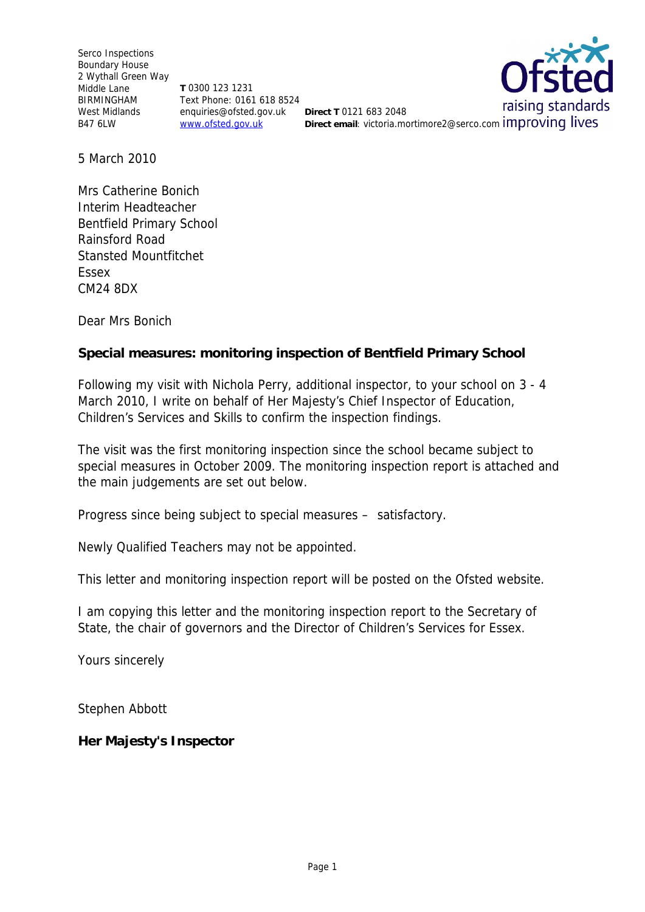Serco Inspections Boundary House 2 Wythall Green Way Middle Lane BIRMINGHAM West Midlands **beider and enquiries@ofsted.gov.uk** Direct T 0121 683 2048 B47 6LW

**T** 0300 123 1231 Text Phone: 0161 618 8524 www.ofsted.gov.uk

raising standards Direct email: victoria.mortimore2@serco.com improving lives

5 March 2010

Mrs Catherine Bonich Interim Headteacher Bentfield Primary School Rainsford Road Stansted Mountfitchet Essex CM24 8DX

Dear Mrs Bonich

**Special measures: monitoring inspection of Bentfield Primary School**

Following my visit with Nichola Perry, additional inspector, to your school on 3 - 4 March 2010, I write on behalf of Her Majesty's Chief Inspector of Education, Children's Services and Skills to confirm the inspection findings.

The visit was the first monitoring inspection since the school became subject to special measures in October 2009. The monitoring inspection report is attached and the main judgements are set out below.

Progress since being subject to special measures *–* satisfactory.

Newly Qualified Teachers may not be appointed.

This letter and monitoring inspection report will be posted on the Ofsted website.

I am copying this letter and the monitoring inspection report to the Secretary of State, the chair of governors and the Director of Children's Services for Essex.

Yours sincerely

Stephen Abbott

**Her Majesty's Inspector**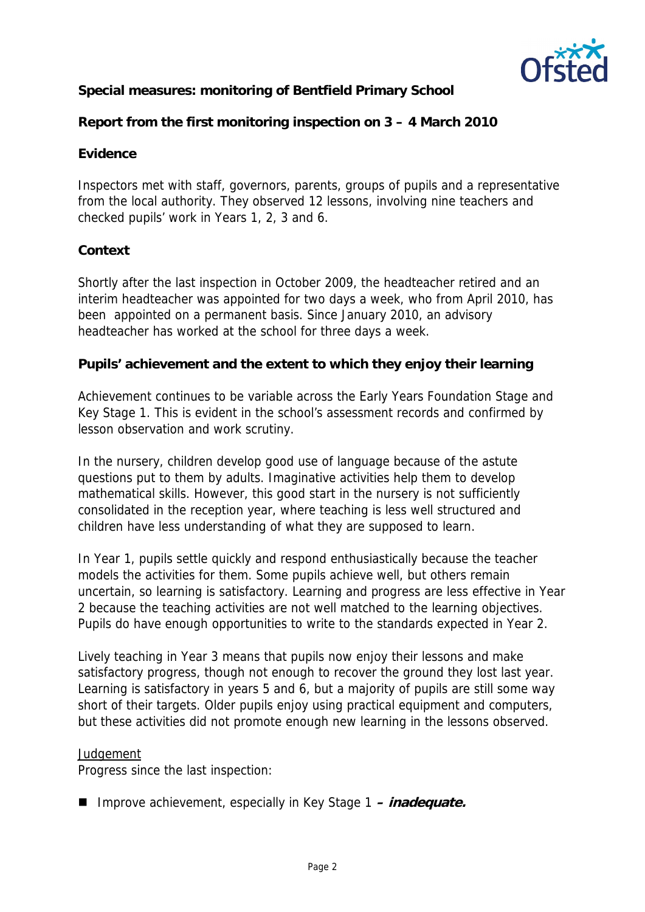

**Special measures: monitoring of Bentfield Primary School**

**Report from the first monitoring inspection on 3 – 4 March 2010**

# **Evidence**

Inspectors met with staff, governors, parents, groups of pupils and a representative from the local authority. They observed 12 lessons, involving nine teachers and checked pupils' work in Years 1, 2, 3 and 6.

# **Context**

Shortly after the last inspection in October 2009, the headteacher retired and an interim headteacher was appointed for two days a week, who from April 2010, has been appointed on a permanent basis. Since January 2010, an advisory headteacher has worked at the school for three days a week.

**Pupils' achievement and the extent to which they enjoy their learning**

Achievement continues to be variable across the Early Years Foundation Stage and Key Stage 1. This is evident in the school's assessment records and confirmed by lesson observation and work scrutiny.

In the nursery, children develop good use of language because of the astute questions put to them by adults. Imaginative activities help them to develop mathematical skills. However, this good start in the nursery is not sufficiently consolidated in the reception year, where teaching is less well structured and children have less understanding of what they are supposed to learn.

In Year 1, pupils settle quickly and respond enthusiastically because the teacher models the activities for them. Some pupils achieve well, but others remain uncertain, so learning is satisfactory. Learning and progress are less effective in Year 2 because the teaching activities are not well matched to the learning objectives. Pupils do have enough opportunities to write to the standards expected in Year 2.

Lively teaching in Year 3 means that pupils now enjoy their lessons and make satisfactory progress, though not enough to recover the ground they lost last year. Learning is satisfactory in years 5 and 6, but a majority of pupils are still some way short of their targets. Older pupils enjoy using practical equipment and computers, but these activities did not promote enough new learning in the lessons observed.

# *Judgement*

Progress since the last inspection:

■ Improve achievement, especially in Key Stage 1 – *inadequate.*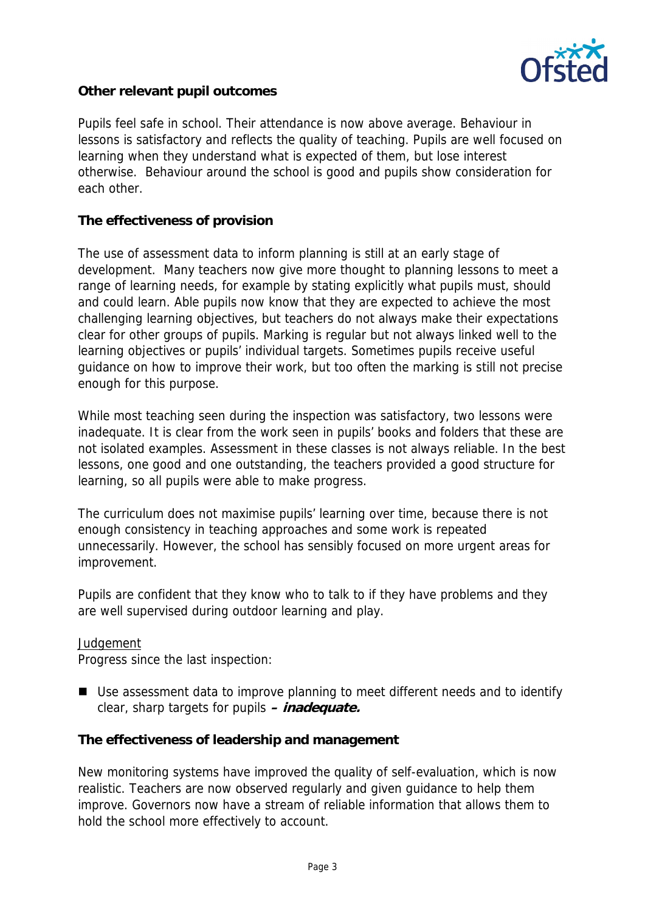

**Other relevant pupil outcomes**

Pupils feel safe in school. Their attendance is now above average. Behaviour in lessons is satisfactory and reflects the quality of teaching. Pupils are well focused on learning when they understand what is expected of them, but lose interest otherwise. Behaviour around the school is good and pupils show consideration for each other.

**The effectiveness of provision**

The use of assessment data to inform planning is still at an early stage of development. Many teachers now give more thought to planning lessons to meet a range of learning needs, for example by stating explicitly what pupils must, should and could learn. Able pupils now know that they are expected to achieve the most challenging learning objectives, but teachers do not always make their expectations clear for other groups of pupils. Marking is regular but not always linked well to the learning objectives or pupils' individual targets. Sometimes pupils receive useful guidance on how to improve their work, but too often the marking is still not precise enough for this purpose.

While most teaching seen during the inspection was satisfactory, two lessons were inadequate. It is clear from the work seen in pupils' books and folders that these are not isolated examples. Assessment in these classes is not always reliable. In the best lessons, one good and one outstanding, the teachers provided a good structure for learning, so all pupils were able to make progress.

The curriculum does not maximise pupils' learning over time, because there is not enough consistency in teaching approaches and some work is repeated unnecessarily. However, the school has sensibly focused on more urgent areas for improvement.

Pupils are confident that they know who to talk to if they have problems and they are well supervised during outdoor learning and play.

### *Judgement*

Progress since the last inspection:

■ Use assessment data to improve planning to meet different needs and to identify clear, sharp targets for pupils **– inadequate.**

**The effectiveness of leadership and management**

New monitoring systems have improved the quality of self-evaluation, which is now realistic. Teachers are now observed regularly and given guidance to help them improve. Governors now have a stream of reliable information that allows them to hold the school more effectively to account.